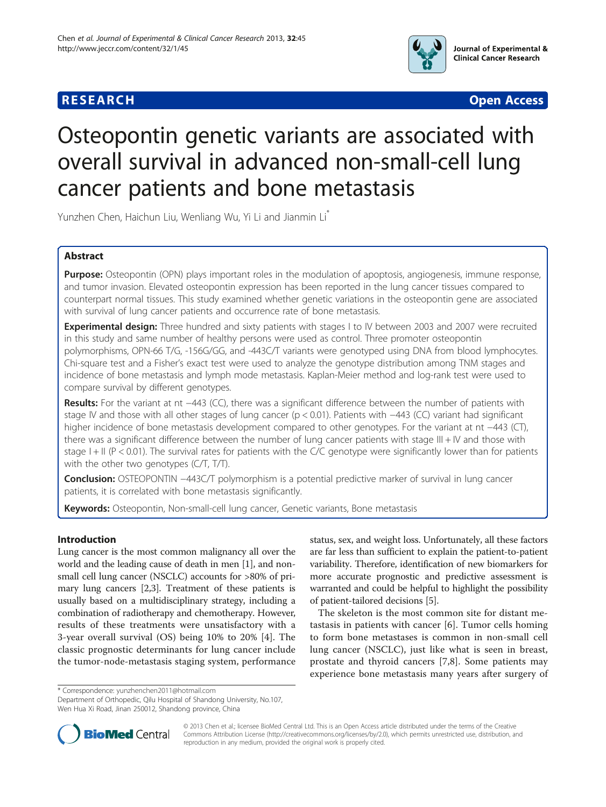



# Osteopontin genetic variants are associated with overall survival in advanced non-small-cell lung cancer patients and bone metastasis

Yunzhen Chen, Haichun Liu, Wenliang Wu, Yi Li and Jianmin Li\*

# Abstract

Purpose: Osteopontin (OPN) plays important roles in the modulation of apoptosis, angiogenesis, immune response, and tumor invasion. Elevated osteopontin expression has been reported in the lung cancer tissues compared to counterpart normal tissues. This study examined whether genetic variations in the osteopontin gene are associated with survival of lung cancer patients and occurrence rate of bone metastasis.

**Experimental design:** Three hundred and sixty patients with stages I to IV between 2003 and 2007 were recruited in this study and same number of healthy persons were used as control. Three promoter osteopontin polymorphisms, OPN-66 T/G, -156G/GG, and -443C/T variants were genotyped using DNA from blood lymphocytes. Chi-square test and a Fisher's exact test were used to analyze the genotype distribution among TNM stages and incidence of bone metastasis and lymph mode metastasis. Kaplan-Meier method and log-rank test were used to compare survival by different genotypes.

Results: For the variant at nt −443 (CC), there was a significant difference between the number of patients with stage IV and those with all other stages of lung cancer (p < 0.01). Patients with −443 (CC) variant had significant higher incidence of bone metastasis development compared to other genotypes. For the variant at nt −443 (CT), there was a significant difference between the number of lung cancer patients with stage III + IV and those with stage  $I + II$  ( $P < 0.01$ ). The survival rates for patients with the C/C genotype were significantly lower than for patients with the other two genotypes (C/T, T/T).

Conclusion: OSTEOPONTIN −443C/T polymorphism is a potential predictive marker of survival in lung cancer patients, it is correlated with bone metastasis significantly.

Keywords: Osteopontin, Non-small-cell lung cancer, Genetic variants, Bone metastasis

# Introduction

Lung cancer is the most common malignancy all over the world and the leading cause of death in men [\[1\]](#page-5-0), and nonsmall cell lung cancer (NSCLC) accounts for >80% of primary lung cancers [[2,3](#page-5-0)]. Treatment of these patients is usually based on a multidisciplinary strategy, including a combination of radiotherapy and chemotherapy. However, results of these treatments were unsatisfactory with a 3-year overall survival (OS) being 10% to 20% [[4\]](#page-5-0). The classic prognostic determinants for lung cancer include the tumor-node-metastasis staging system, performance status, sex, and weight loss. Unfortunately, all these factors are far less than sufficient to explain the patient-to-patient variability. Therefore, identification of new biomarkers for more accurate prognostic and predictive assessment is warranted and could be helpful to highlight the possibility of patient-tailored decisions [\[5](#page-5-0)].

The skeleton is the most common site for distant metastasis in patients with cancer [[6\]](#page-5-0). Tumor cells homing to form bone metastases is common in non-small cell lung cancer (NSCLC), just like what is seen in breast, prostate and thyroid cancers [[7,8](#page-5-0)]. Some patients may experience bone metastasis many years after surgery of

\* Correspondence: [yunzhenchen2011@hotmail.com](mailto:yunzhenchen2011@hotmail.com)

Department of Orthopedic, Qilu Hospital of Shandong University, No.107, Wen Hua Xi Road, Jinan 250012, Shandong province, China



© 2013 Chen et al.; licensee BioMed Central Ltd. This is an Open Access article distributed under the terms of the Creative Commons Attribution License [\(http://creativecommons.org/licenses/by/2.0\)](http://creativecommons.org/licenses/by/2.0), which permits unrestricted use, distribution, and reproduction in any medium, provided the original work is properly cited.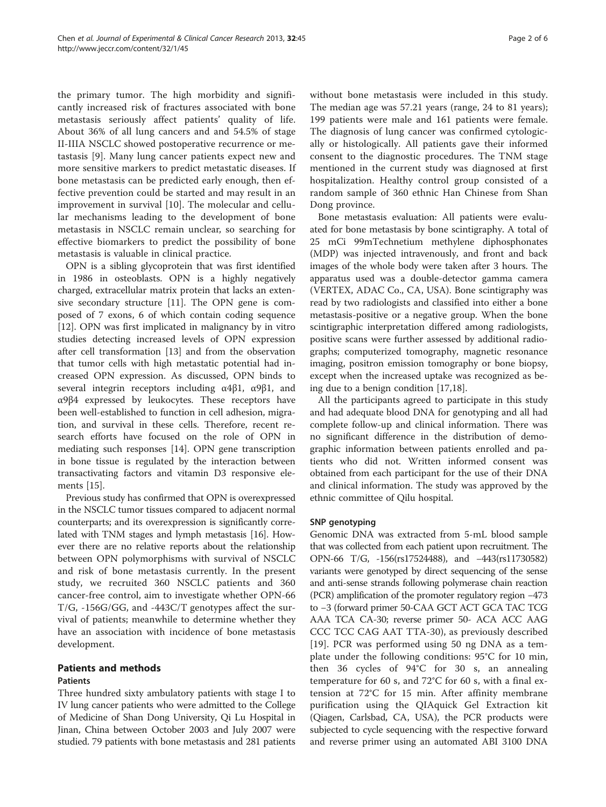the primary tumor. The high morbidity and significantly increased risk of fractures associated with bone metastasis seriously affect patients' quality of life. About 36% of all lung cancers and and 54.5% of stage II-IIIA NSCLC showed postoperative recurrence or metastasis [\[9\]](#page-5-0). Many lung cancer patients expect new and more sensitive markers to predict metastatic diseases. If bone metastasis can be predicted early enough, then effective prevention could be started and may result in an improvement in survival [[10\]](#page-5-0). The molecular and cellular mechanisms leading to the development of bone metastasis in NSCLC remain unclear, so searching for effective biomarkers to predict the possibility of bone metastasis is valuable in clinical practice.

OPN is a sibling glycoprotein that was first identified in 1986 in osteoblasts. OPN is a highly negatively charged, extracellular matrix protein that lacks an extensive secondary structure [[11](#page-5-0)]. The OPN gene is composed of 7 exons, 6 of which contain coding sequence [[12\]](#page-5-0). OPN was first implicated in malignancy by in vitro studies detecting increased levels of OPN expression after cell transformation [[13](#page-5-0)] and from the observation that tumor cells with high metastatic potential had increased OPN expression. As discussed, OPN binds to several integrin receptors including α4β1, α9β1, and α9β4 expressed by leukocytes. These receptors have been well-established to function in cell adhesion, migration, and survival in these cells. Therefore, recent research efforts have focused on the role of OPN in mediating such responses [\[14\]](#page-5-0). OPN gene transcription in bone tissue is regulated by the interaction between transactivating factors and vitamin D3 responsive elements [[15\]](#page-5-0).

Previous study has confirmed that OPN is overexpressed in the NSCLC tumor tissues compared to adjacent normal counterparts; and its overexpression is significantly correlated with TNM stages and lymph metastasis [\[16\]](#page-5-0). However there are no relative reports about the relationship between OPN polymorphisms with survival of NSCLC and risk of bone metastasis currently. In the present study, we recruited 360 NSCLC patients and 360 cancer-free control, aim to investigate whether OPN-66 T/G, -156G/GG, and -443C/T genotypes affect the survival of patients; meanwhile to determine whether they have an association with incidence of bone metastasis development.

# Patients and methods Patients

Three hundred sixty ambulatory patients with stage I to IV lung cancer patients who were admitted to the College of Medicine of Shan Dong University, Qi Lu Hospital in Jinan, China between October 2003 and July 2007 were studied. 79 patients with bone metastasis and 281 patients

without bone metastasis were included in this study. The median age was 57.21 years (range, 24 to 81 years); 199 patients were male and 161 patients were female. The diagnosis of lung cancer was confirmed cytologically or histologically. All patients gave their informed consent to the diagnostic procedures. The TNM stage mentioned in the current study was diagnosed at first hospitalization. Healthy control group consisted of a random sample of 360 ethnic Han Chinese from Shan Dong province.

Bone metastasis evaluation: All patients were evaluated for bone metastasis by bone scintigraphy. A total of 25 mCi 99mTechnetium methylene diphosphonates (MDP) was injected intravenously, and front and back images of the whole body were taken after 3 hours. The apparatus used was a double-detector gamma camera (VERTEX, ADAC Co., CA, USA). Bone scintigraphy was read by two radiologists and classified into either a bone metastasis-positive or a negative group. When the bone scintigraphic interpretation differed among radiologists, positive scans were further assessed by additional radiographs; computerized tomography, magnetic resonance imaging, positron emission tomography or bone biopsy, except when the increased uptake was recognized as being due to a benign condition [\[17,18](#page-5-0)].

All the participants agreed to participate in this study and had adequate blood DNA for genotyping and all had complete follow-up and clinical information. There was no significant difference in the distribution of demographic information between patients enrolled and patients who did not. Written informed consent was obtained from each participant for the use of their DNA and clinical information. The study was approved by the ethnic committee of Qilu hospital.

# SNP genotyping

Genomic DNA was extracted from 5-mL blood sample that was collected from each patient upon recruitment. The OPN-66 T/G, -156(rs17524488), and −443(rs11730582) variants were genotyped by direct sequencing of the sense and anti-sense strands following polymerase chain reaction (PCR) amplification of the promoter regulatory region −473 to −3 (forward primer 50-CAA GCT ACT GCA TAC TCG AAA TCA CA-30; reverse primer 50- ACA ACC AAG CCC TCC CAG AAT TTA-30), as previously described [[19\]](#page-5-0). PCR was performed using 50 ng DNA as a template under the following conditions: 95°C for 10 min, then 36 cycles of 94°C for 30 s, an annealing temperature for 60 s, and 72°C for 60 s, with a final extension at 72°C for 15 min. After affinity membrane purification using the QIAquick Gel Extraction kit (Qiagen, Carlsbad, CA, USA), the PCR products were subjected to cycle sequencing with the respective forward and reverse primer using an automated ABI 3100 DNA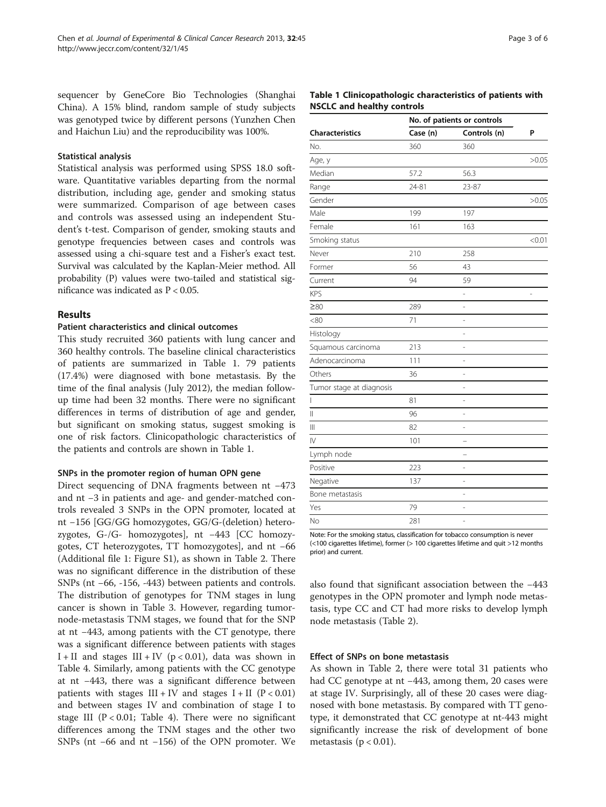sequencer by GeneCore Bio Technologies (Shanghai China). A 15% blind, random sample of study subjects was genotyped twice by different persons (Yunzhen Chen and Haichun Liu) and the reproducibility was 100%.

## Statistical analysis

Statistical analysis was performed using SPSS 18.0 software. Quantitative variables departing from the normal distribution, including age, gender and smoking status were summarized. Comparison of age between cases and controls was assessed using an independent Student's t-test. Comparison of gender, smoking stauts and genotype frequencies between cases and controls was assessed using a chi-square test and a Fisher's exact test. Survival was calculated by the Kaplan-Meier method. All probability (P) values were two-tailed and statistical significance was indicated as P < 0.05.

### Results

# Patient characteristics and clinical outcomes

This study recruited 360 patients with lung cancer and 360 healthy controls. The baseline clinical characteristics of patients are summarized in Table 1. 79 patients (17.4%) were diagnosed with bone metastasis. By the time of the final analysis (July 2012), the median followup time had been 32 months. There were no significant differences in terms of distribution of age and gender, but significant on smoking status, suggest smoking is one of risk factors. Clinicopathologic characteristics of the patients and controls are shown in Table 1.

# SNPs in the promoter region of human OPN gene

Direct sequencing of DNA fragments between nt −473 and nt −3 in patients and age- and gender-matched controls revealed 3 SNPs in the OPN promoter, located at nt −156 [GG/GG homozygotes, GG/G-(deletion) heterozygotes, G-/G- homozygotes], nt −443 [CC homozygotes, CT heterozygotes, TT homozygotes], and nt −66 (Additional file [1](#page-4-0): Figure S1), as shown in Table [2](#page-3-0). There was no significant difference in the distribution of these SNPs (nt −66, -156, -443) between patients and controls. The distribution of genotypes for TNM stages in lung cancer is shown in Table [3.](#page-3-0) However, regarding tumornode-metastasis TNM stages, we found that for the SNP at nt −443, among patients with the CT genotype, there was a significant difference between patients with stages I + II and stages  $III + IV$  (p < 0.01), data was shown in Table [4.](#page-3-0) Similarly, among patients with the CC genotype at nt −443, there was a significant difference between patients with stages  $III + IV$  and stages  $I + II$  (P < 0.01) and between stages IV and combination of stage I to stage III ( $P < 0.01$ ; Table [4](#page-3-0)). There were no significant differences among the TNM stages and the other two SNPs (nt −66 and nt −156) of the OPN promoter. We

## Table 1 Clinicopathologic characteristics of patients with NSCLC and healthy controls

| No. of patients or controls |              |        |  |
|-----------------------------|--------------|--------|--|
| Case (n)                    | Controls (n) | P      |  |
| 360                         | 360          |        |  |
|                             |              | >0.05  |  |
| 57.2                        | 56.3         |        |  |
| 24-81                       | 23-87        |        |  |
|                             |              | >0.05  |  |
| 199                         | 197          |        |  |
| 161                         | 163          |        |  |
|                             |              | < 0.01 |  |
| 210                         | 258          |        |  |
| 56                          | 43           |        |  |
| 94                          | 59           |        |  |
|                             | -            | i,     |  |
| 289                         | L,           |        |  |
| 71                          | L,           |        |  |
|                             | -            |        |  |
| 213                         | L,           |        |  |
| 111                         | -            |        |  |
| 36                          | L,           |        |  |
|                             | i.           |        |  |
| 81                          | L,           |        |  |
| 96                          | ÷            |        |  |
| 82                          | ÷            |        |  |
| 101                         |              |        |  |
|                             |              |        |  |
| 223                         | L,           |        |  |
| 137                         | -            |        |  |
|                             | L,           |        |  |
| 79                          | -            |        |  |
| 281                         | L,           |        |  |
|                             |              |        |  |

Note: For the smoking status, classification for tobacco consumption is never (<100 cigarettes lifetime), former (> 100 cigarettes lifetime and quit >12 months prior) and current.

also found that significant association between the −443 genotypes in the OPN promoter and lymph node metastasis, type CC and CT had more risks to develop lymph node metastasis (Table [2\)](#page-3-0).

## Effect of SNPs on bone metastasis

As shown in Table [2,](#page-3-0) there were total 31 patients who had CC genotype at nt −443, among them, 20 cases were at stage IV. Surprisingly, all of these 20 cases were diagnosed with bone metastasis. By compared with TT genotype, it demonstrated that CC genotype at nt-443 might significantly increase the risk of development of bone metastasis ( $p < 0.01$ ).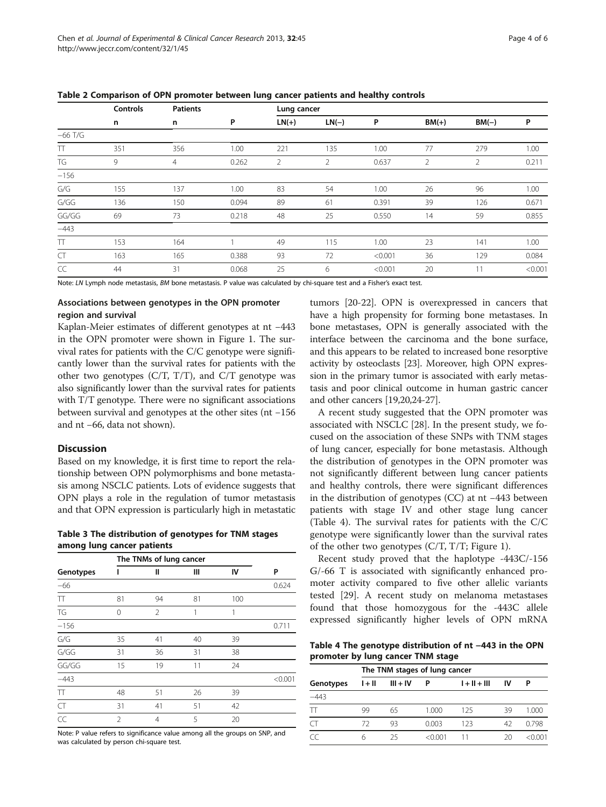|           | <b>Controls</b> | <b>Patients</b> |       | Lung cancer |         |         |                |         |         |  |
|-----------|-----------------|-----------------|-------|-------------|---------|---------|----------------|---------|---------|--|
|           | n               | n               | P     | $LN(+)$     | $LN(-)$ | P       | $BM(+)$        | $BM(-)$ | P       |  |
| $-66$ T/G |                 |                 |       |             |         |         |                |         |         |  |
| Π         | 351             | 356             | 1.00  | 221         | 135     | 1.00    | 77             | 279     | 1.00    |  |
| TG        | 9               | $\overline{4}$  | 0.262 | 2           | 2       | 0.637   | $\overline{2}$ | 2       | 0.211   |  |
| $-156$    |                 |                 |       |             |         |         |                |         |         |  |
| G/G       | 155             | 137             | 1.00  | 83          | 54      | 1.00    | 26             | 96      | 1.00    |  |
| G/GG      | 136             | 150             | 0.094 | 89          | 61      | 0.391   | 39             | 126     | 0.671   |  |
| GG/GG     | 69              | 73              | 0.218 | 48          | 25      | 0.550   | 14             | 59      | 0.855   |  |
| $-443$    |                 |                 |       |             |         |         |                |         |         |  |
| Π         | 153             | 164             |       | 49          | 115     | 1.00    | 23             | 141     | 1.00    |  |
| <b>CT</b> | 163             | 165             | 0.388 | 93          | 72      | < 0.001 | 36             | 129     | 0.084   |  |
| CC        | 44              | 31              | 0.068 | 25          | 6       | < 0.001 | 20             | 11      | < 0.001 |  |

<span id="page-3-0"></span>Table 2 Comparison of OPN promoter between lung cancer patients and healthy controls

Note: LN Lymph node metastasis, BM bone metastasis. P value was calculated by chi-square test and a Fisher's exact test.

# Associations between genotypes in the OPN promoter region and survival

Kaplan-Meier estimates of different genotypes at nt −443 in the OPN promoter were shown in Figure [1](#page-4-0). The survival rates for patients with the C/C genotype were significantly lower than the survival rates for patients with the other two genotypes  $(C/T, T/T)$ , and  $C/T$  genotype was also significantly lower than the survival rates for patients with T/T genotype. There were no significant associations between survival and genotypes at the other sites (nt −156 and nt −66, data not shown).

# **Discussion**

Based on my knowledge, it is first time to report the relationship between OPN polymorphisms and bone metastasis among NSCLC patients. Lots of evidence suggests that OPN plays a role in the regulation of tumor metastasis and that OPN expression is particularly high in metastatic

Table 3 The distribution of genotypes for TNM stages among lung cancer patients

|                         | The TNMs of lung cancer |    |    |     |         |
|-------------------------|-------------------------|----|----|-----|---------|
| Genotypes               | ı                       | Ш  | Ш  | IV  | P       |
| $-66$                   |                         |    |    |     | 0.624   |
| $\top$                  | 81                      | 94 | 81 | 100 |         |
| TG                      | $\cap$                  | 2  |    | 1   |         |
| $-156$                  |                         |    |    |     | 0.711   |
| $\mathsf{G}/\mathsf{G}$ | 35                      | 41 | 40 | 39  |         |
| G/GG                    | 31                      | 36 | 31 | 38  |         |
| GG/GG                   | 15                      | 19 | 11 | 24  |         |
| $-443$                  |                         |    |    |     | < 0.001 |
| $\top$                  | 48                      | 51 | 26 | 39  |         |
| CT                      | 31                      | 41 | 51 | 42  |         |
| CC                      | $\mathfrak{D}$          | 4  | 5  | 20  |         |

Note: P value refers to significance value among all the groups on SNP, and was calculated by person chi-square test.

tumors [\[20-22\]](#page-5-0). OPN is overexpressed in cancers that have a high propensity for forming bone metastases. In bone metastases, OPN is generally associated with the interface between the carcinoma and the bone surface, and this appears to be related to increased bone resorptive activity by osteoclasts [\[23\]](#page-5-0). Moreover, high OPN expression in the primary tumor is associated with early metastasis and poor clinical outcome in human gastric cancer and other cancers [[19,20,24-27\]](#page-5-0).

A recent study suggested that the OPN promoter was associated with NSCLC [\[28](#page-5-0)]. In the present study, we focused on the association of these SNPs with TNM stages of lung cancer, especially for bone metastasis. Although the distribution of genotypes in the OPN promoter was not significantly different between lung cancer patients and healthy controls, there were significant differences in the distribution of genotypes (CC) at nt −443 between patients with stage IV and other stage lung cancer (Table 4). The survival rates for patients with the C/C genotype were significantly lower than the survival rates of the other two genotypes (C/T, T/T; Figure [1\)](#page-4-0).

Recent study proved that the haplotype -443C/-156 G/-66 T is associated with significantly enhanced promoter activity compared to five other allelic variants tested [[29\]](#page-5-0). A recent study on melanoma metastases found that those homozygous for the -443C allele expressed significantly higher levels of OPN mRNA

Table 4 The genotype distribution of nt −443 in the OPN promoter by lung cancer TNM stage

|           | The TNM stages of lung cancer |            |         |                |    |         |  |  |
|-----------|-------------------------------|------------|---------|----------------|----|---------|--|--|
| Genotypes | $1 + 11$                      | $III + IV$ | Р       | $1 + 11 + 111$ | IV | Ρ       |  |  |
| $-443$    |                               |            |         |                |    |         |  |  |
| TT        | 99                            | 65         | 1.000   | 125            | 39 | 1.000   |  |  |
| CT        | 72                            | 93         | 0.003   | 123            | 42 | 0.798   |  |  |
| CC        | 6                             | 25         | < 0.001 | 11             | 20 | < 0.001 |  |  |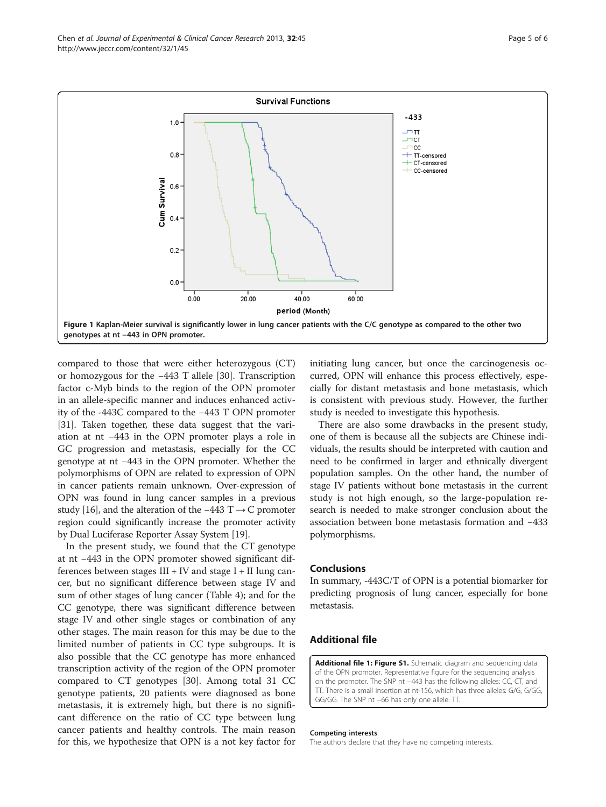<span id="page-4-0"></span>

compared to those that were either heterozygous (CT) or homozygous for the −443 T allele [[30\]](#page-5-0). Transcription factor c-Myb binds to the region of the OPN promoter in an allele-specific manner and induces enhanced activity of the -443C compared to the −443 T OPN promoter [[31\]](#page-5-0). Taken together, these data suggest that the variation at nt −443 in the OPN promoter plays a role in GC progression and metastasis, especially for the CC genotype at nt −443 in the OPN promoter. Whether the polymorphisms of OPN are related to expression of OPN in cancer patients remain unknown. Over-expression of OPN was found in lung cancer samples in a previous study [[16\]](#page-5-0), and the alteration of the −443 T  $\rightarrow$  C promoter region could significantly increase the promoter activity by Dual Luciferase Reporter Assay System [[19\]](#page-5-0).

In the present study, we found that the CT genotype at nt −443 in the OPN promoter showed significant differences between stages  $III + IV$  and stage  $I + II$  lung cancer, but no significant difference between stage IV and sum of other stages of lung cancer (Table [4](#page-3-0)); and for the CC genotype, there was significant difference between stage IV and other single stages or combination of any other stages. The main reason for this may be due to the limited number of patients in CC type subgroups. It is also possible that the CC genotype has more enhanced transcription activity of the region of the OPN promoter compared to CT genotypes [[30\]](#page-5-0). Among total 31 CC genotype patients, 20 patients were diagnosed as bone metastasis, it is extremely high, but there is no significant difference on the ratio of CC type between lung cancer patients and healthy controls. The main reason for this, we hypothesize that OPN is a not key factor for initiating lung cancer, but once the carcinogenesis occurred, OPN will enhance this process effectively, especially for distant metastasis and bone metastasis, which is consistent with previous study. However, the further study is needed to investigate this hypothesis.

There are also some drawbacks in the present study, one of them is because all the subjects are Chinese individuals, the results should be interpreted with caution and need to be confirmed in larger and ethnically divergent population samples. On the other hand, the number of stage IV patients without bone metastasis in the current study is not high enough, so the large-population research is needed to make stronger conclusion about the association between bone metastasis formation and −433 polymorphisms.

## **Conclusions**

In summary, -443C/T of OPN is a potential biomarker for predicting prognosis of lung cancer, especially for bone metastasis.

# Additional file

[Additional file 1: Figure S1.](http://www.biomedcentral.com/content/supplementary/1756-9966-32-45-S1.tiff) Schematic diagram and sequencing data of the OPN promoter. Representative figure for the sequencing analysis on the promoter. The SNP nt −443 has the following alleles: CC, CT, and TT. There is a small insertion at nt-156, which has three alleles: G/G, G/GG, GG/GG. The SNP nt −66 has only one allele: TT.

#### Competing interests

The authors declare that they have no competing interests.